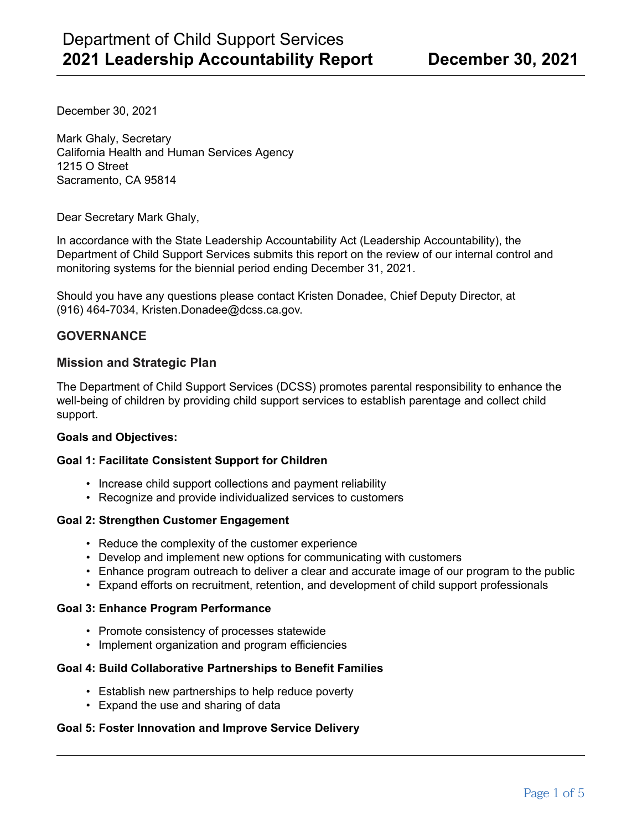December 30, 2021

Mark Ghaly, Secretary California Health and Human Services Agency 1215 O Street Sacramento, CA 95814

Dear Secretary Mark Ghaly,

In accordance with the State Leadership Accountability Act (Leadership Accountability), the Department of Child Support Services submits this report on the review of our internal control and monitoring systems for the biennial period ending December 31, 2021.

Should you have any questions please contact Kristen Donadee, Chief Deputy Director, at (916) 464-7034, Kristen.Donadee@dcss.ca.gov.

### **GOVERNANCE**

### **Mission and Strategic Plan**

The Department of Child Support Services (DCSS) promotes parental responsibility to enhance the well-being of children by providing child support services to establish parentage and collect child support.

#### **Goals and Objectives:**

#### **Goal 1: Facilitate Consistent Support for Children**

- Increase child support collections and payment reliability
- Recognize and provide individualized services to customers

#### **Goal 2: Strengthen Customer Engagement**

- Reduce the complexity of the customer experience
- Develop and implement new options for communicating with customers
- Enhance program outreach to deliver a clear and accurate image of our program to the public
- Expand efforts on recruitment, retention, and development of child support professionals

#### **Goal 3: Enhance Program Performance**

- Promote consistency of processes statewide
- Implement organization and program efficiencies

#### **Goal 4: Build Collaborative Partnerships to Benefit Families**

- Establish new partnerships to help reduce poverty
- Expand the use and sharing of data

#### **Goal 5: Foster Innovation and Improve Service Delivery**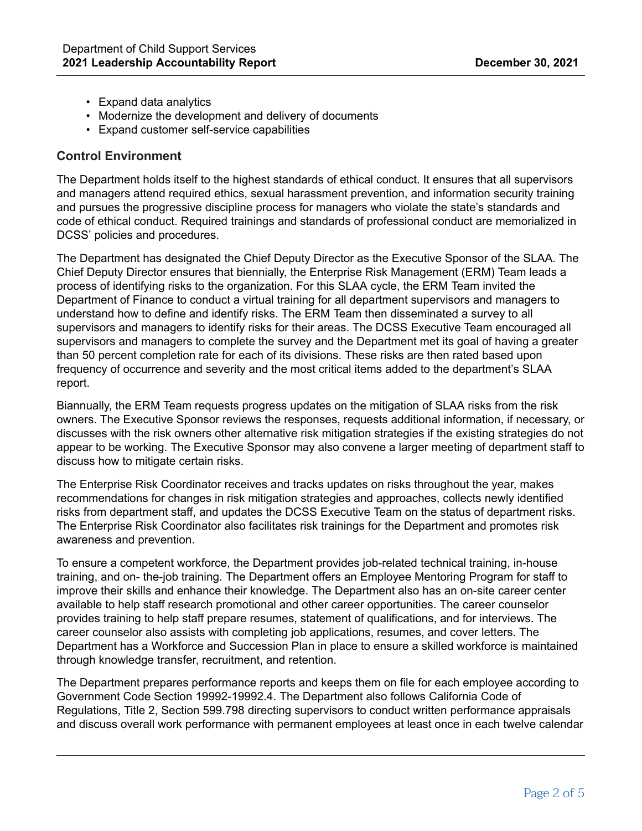- Expand data analytics
- Modernize the development and delivery of documents
- Expand customer self-service capabilities

# **Control Environment**

The Department holds itself to the highest standards of ethical conduct. It ensures that all supervisors and managers attend required ethics, sexual harassment prevention, and information security training and pursues the progressive discipline process for managers who violate the state's standards and code of ethical conduct. Required trainings and standards of professional conduct are memorialized in DCSS' policies and procedures.

The Department has designated the Chief Deputy Director as the Executive Sponsor of the SLAA. The Chief Deputy Director ensures that biennially, the Enterprise Risk Management (ERM) Team leads a process of identifying risks to the organization. For this SLAA cycle, the ERM Team invited the Department of Finance to conduct a virtual training for all department supervisors and managers to understand how to define and identify risks. The ERM Team then disseminated a survey to all supervisors and managers to identify risks for their areas. The DCSS Executive Team encouraged all supervisors and managers to complete the survey and the Department met its goal of having a greater than 50 percent completion rate for each of its divisions. These risks are then rated based upon frequency of occurrence and severity and the most critical items added to the department's SLAA report.

Biannually, the ERM Team requests progress updates on the mitigation of SLAA risks from the risk owners. The Executive Sponsor reviews the responses, requests additional information, if necessary, or discusses with the risk owners other alternative risk mitigation strategies if the existing strategies do not appear to be working. The Executive Sponsor may also convene a larger meeting of department staff to discuss how to mitigate certain risks.

The Enterprise Risk Coordinator receives and tracks updates on risks throughout the year, makes recommendations for changes in risk mitigation strategies and approaches, collects newly identified risks from department staff, and updates the DCSS Executive Team on the status of department risks. The Enterprise Risk Coordinator also facilitates risk trainings for the Department and promotes risk awareness and prevention.

To ensure a competent workforce, the Department provides job-related technical training, in-house training, and on- the-job training. The Department offers an Employee Mentoring Program for staff to improve their skills and enhance their knowledge. The Department also has an on-site career center available to help staff research promotional and other career opportunities. The career counselor provides training to help staff prepare resumes, statement of qualifications, and for interviews. The career counselor also assists with completing job applications, resumes, and cover letters. The Department has a Workforce and Succession Plan in place to ensure a skilled workforce is maintained through knowledge transfer, recruitment, and retention.

The Department prepares performance reports and keeps them on file for each employee according to Government Code Section 19992-19992.4. The Department also follows California Code of Regulations, Title 2, Section 599.798 directing supervisors to conduct written performance appraisals and discuss overall work performance with permanent employees at least once in each twelve calendar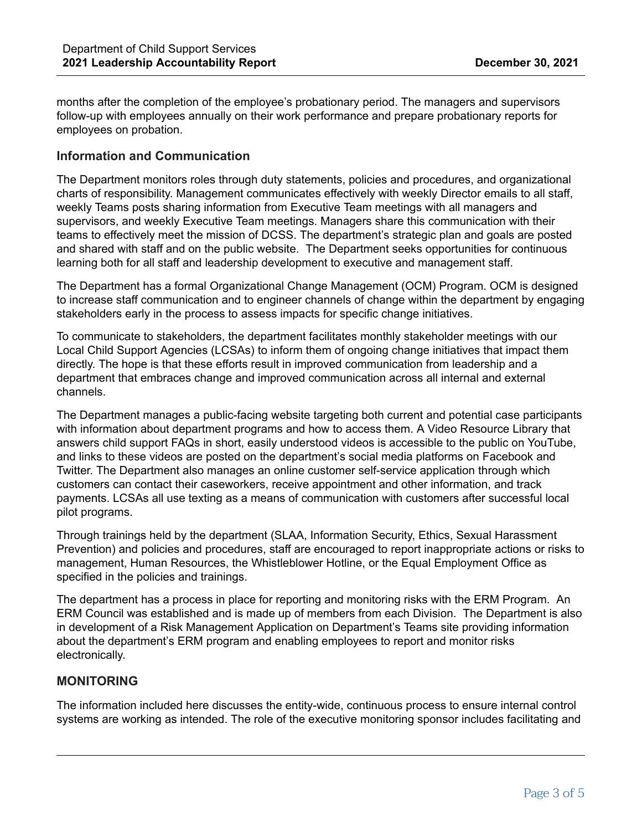months after the completion of the employee's probationary period. The managers and supervisors follow-up with employees annually on their work performance and prepare probationary reports for employees on probation.

### **Information and Communication**

The Department monitors roles through duty statements, policies and procedures, and organizational charts of responsibility. Management communicates effectively with weekly Director emails to all staff, weekly Teams posts sharing information from Executive Team meetings with all managers and supervisors, and weekly Executive Team meetings. Managers share this communication with their teams to effectively meet the mission of DCSS. The department's strategic plan and goals are posted and shared with staff and on the public website. The Department seeks opportunities for continuous learning both for all staff and leadership development to executive and management staff.

The Department has a formal Organizational Change Management (OCM) Program. OCM is designed to increase staff communication and to engineer channels of change within the department by engaging stakeholders early in the process to assess impacts for specific change initiatives.

To communicate to stakeholders, the department facilitates monthly stakeholder meetings with our Local Child Support Agencies (LCSAs) to inform them of ongoing change initiatives that impact them directly. The hope is that these efforts result in improved communication from leadership and a department that embraces change and improved communication across all internal and external channels.

The Department manages a public-facing website targeting both current and potential case participants with information about department programs and how to access them. A Video Resource Library that answers child support FAQs in short, easily understood videos is accessible to the public on YouTube, and links to these videos are posted on the department's social media platforms on Facebook and Twitter. The Department also manages an online customer self-service application through which customers can contact their caseworkers, receive appointment and other information, and track payments. LCSAs all use texting as a means of communication with customers after successful local pilot programs.

Through trainings held by the department (SLAA, Information Security, Ethics, Sexual Harassment Prevention) and policies and procedures, staff are encouraged to report inappropriate actions or risks to management, Human Resources, the Whistleblower Hotline, or the Equal Employment Office as specified in the policies and trainings.

The department has a process in place for reporting and monitoring risks with the ERM Program. An ERM Council was established and is made up of members from each Division. The Department is also in development of a Risk Management Application on Department's Teams site providing information about the department's ERM program and enabling employees to report and monitor risks electronically.

### **MONITORING**

The information included here discusses the entity-wide, continuous process to ensure internal control systems are working as intended. The role of the executive monitoring sponsor includes facilitating and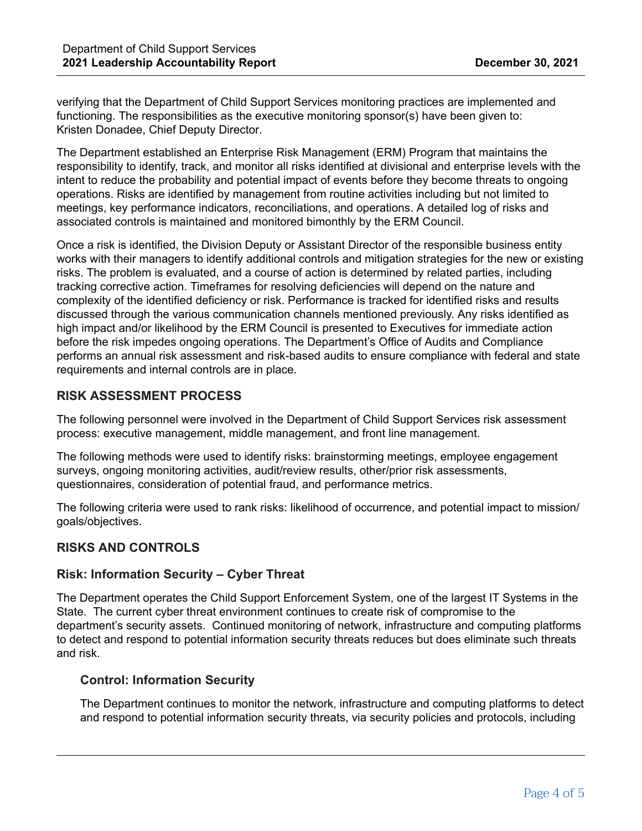verifying that the Department of Child Support Services monitoring practices are implemented and functioning. The responsibilities as the executive monitoring sponsor(s) have been given to: Kristen Donadee, Chief Deputy Director.

The Department established an Enterprise Risk Management (ERM) Program that maintains the responsibility to identify, track, and monitor all risks identified at divisional and enterprise levels with the intent to reduce the probability and potential impact of events before they become threats to ongoing operations. Risks are identified by management from routine activities including but not limited to meetings, key performance indicators, reconciliations, and operations. A detailed log of risks and associated controls is maintained and monitored bimonthly by the ERM Council.

Once a risk is identified, the Division Deputy or Assistant Director of the responsible business entity works with their managers to identify additional controls and mitigation strategies for the new or existing risks. The problem is evaluated, and a course of action is determined by related parties, including tracking corrective action. Timeframes for resolving deficiencies will depend on the nature and complexity of the identified deficiency or risk. Performance is tracked for identified risks and results discussed through the various communication channels mentioned previously. Any risks identified as high impact and/or likelihood by the ERM Council is presented to Executives for immediate action before the risk impedes ongoing operations. The Department's Office of Audits and Compliance performs an annual risk assessment and risk-based audits to ensure compliance with federal and state requirements and internal controls are in place.

### **RISK ASSESSMENT PROCESS**

The following personnel were involved in the Department of Child Support Services risk assessment process: executive management, middle management, and front line management.

The following methods were used to identify risks: brainstorming meetings, employee engagement surveys, ongoing monitoring activities, audit/review results, other/prior risk assessments, questionnaires, consideration of potential fraud, and performance metrics.

The following criteria were used to rank risks: likelihood of occurrence, and potential impact to mission/ goals/objectives.

# **RISKS AND CONTROLS**

### **Risk: Information Security – Cyber Threat**

The Department operates the Child Support Enforcement System, one of the largest IT Systems in the State. The current cyber threat environment continues to create risk of compromise to the department's security assets. Continued monitoring of network, infrastructure and computing platforms to detect and respond to potential information security threats reduces but does eliminate such threats and risk.

### **Control: Information Security**

The Department continues to monitor the network, infrastructure and computing platforms to detect and respond to potential information security threats, via security policies and protocols, including